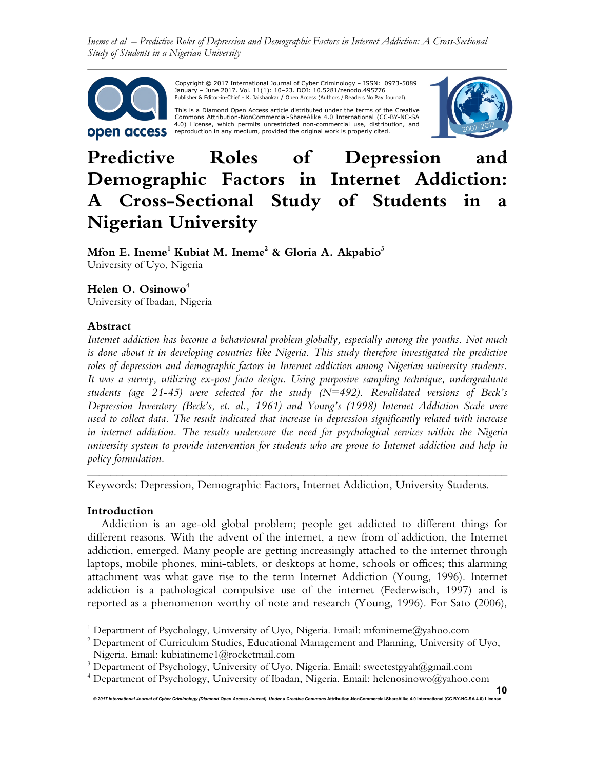*Ineme et al – Predictive Roles of Depression and Demographic Factors in Internet Addiction: A Cross-Sectional Study of Students in a Nigerian University*



 Copyright © 2017 International Journal of Cyber Criminology – ISSN: 0973-5089 January – June 2017. Vol. 11(1): 10–23. DOI: 10.5281/zenodo.495776 Publisher & Editor-in-Chief – K. Jaishankar / Open Access (Authors / Readers No Pay Journal).

This is a Diamond Open Access article distributed under the terms of the Creative Commons Attribution-NonCommercial-ShareAlike 4.0 International (CC-BY-NC-SA 4.0) License, which permits unrestricted non-commercial use, distribution, and<br>reproduction in any medium, provided the original work is properly cited.



# **Predictive Roles of Depression and Demographic Factors in Internet Addiction: A Cross-Sectional Study of Students in a Nigerian University**

**Mfon E. Ineme<sup>1</sup> Kubiat M. Ineme<sup>2</sup> & Gloria A. Akpabio 3** University of Uyo, Nigeria

# **Helen O. Osinowo<sup>4</sup>**

University of Ibadan, Nigeria

## **Abstract**

*Internet addiction has become a behavioural problem globally, especially among the youths. Not much*  is done about it in developing countries like Nigeria. This study therefore investigated the predictive *roles of depression and demographic factors in Internet addiction among Nigerian university students. It was a survey, utilizing ex-post facto design. Using purposive sampling technique, undergraduate students (age 21-45) were selected for the study (N=492). Revalidated versions of Beck's Depression Inventory (Beck's, et. al., 1961) and Young's (1998) Internet Addiction Scale were used to collect data. The result indicated that increase in depression significantly related with increase in internet addiction. The results underscore the need for psychological services within the Nigeria university system to provide intervention for students who are prone to Internet addiction and help in policy formulation.*

Keywords: Depression, Demographic Factors, Internet Addiction, University Students.

*\_\_\_\_\_\_\_\_\_\_\_\_\_\_\_\_\_\_\_\_\_\_\_\_\_\_\_\_\_\_\_\_\_\_\_\_\_\_\_\_\_\_\_\_\_\_\_\_\_\_\_\_\_\_\_\_\_\_\_\_\_\_\_\_\_\_\_\_\_\_\_\_* 

## **Introduction**

 $\overline{a}$ 

Addiction is an age-old global problem; people get addicted to different things for different reasons. With the advent of the internet, a new from of addiction, the Internet addiction, emerged. Many people are getting increasingly attached to the internet through laptops, mobile phones, mini-tablets, or desktops at home, schools or offices; this alarming attachment was what gave rise to the term Internet Addiction (Young, 1996). Internet addiction is a pathological compulsive use of the internet (Federwisch, 1997) and is reported as a phenomenon worthy of note and research (Young, 1996). For Sato (2006),

*© 2017 International Journal of Cyber Criminology (Diamond Open Access Journal). Under a Creative Commons* **Attribution-NonCommercial-ShareAlike 4.0 International (CC BY-NC-SA 4.0) License**

<sup>&</sup>lt;sup>1</sup> Department of Psychology, University of Uyo, Nigeria. Email: mfonineme@yahoo.com

<sup>&</sup>lt;sup>2</sup> Department of Curriculum Studies, Educational Management and Planning, University of Uyo, Nigeria. Email: kubiatineme1@rocketmail.com

<sup>&</sup>lt;sup>3</sup> Department of Psychology, University of Uyo, Nigeria. Email: sweetestgyah@gmail.com

<sup>4</sup> Department of Psychology, University of Ibadan, Nigeria. Email: helenosinowo@yahoo.com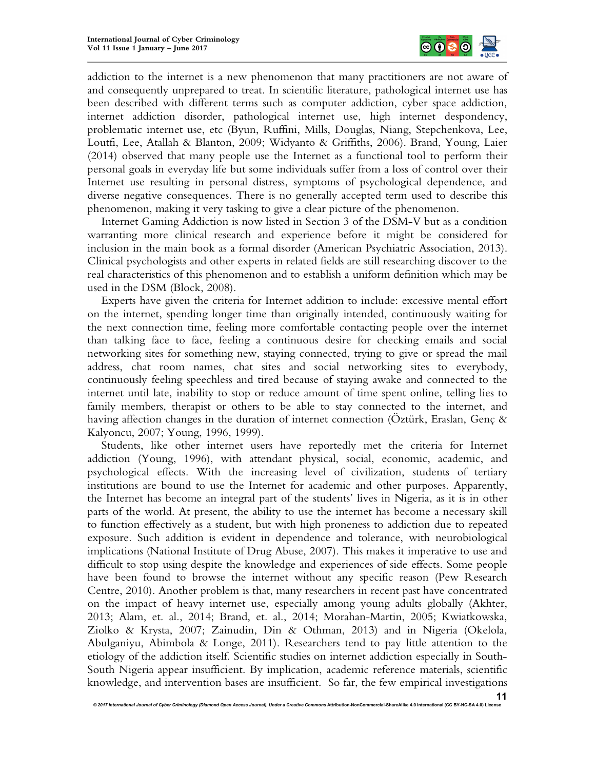

addiction to the internet is a new phenomenon that many practitioners are not aware of and consequently unprepared to treat. In scientific literature, pathological internet use has been described with different terms such as computer addiction, cyber space addiction, internet addiction disorder, pathological internet use, high internet despondency, problematic internet use, etc (Byun, Ruffini, Mills, Douglas, Niang, Stepchenkova, Lee, Loutfi, Lee, Atallah & Blanton, 2009; Widyanto & Griffiths, 2006). Brand, Young, Laier (2014) observed that many people use the Internet as a functional tool to perform their personal goals in everyday life but some individuals suffer from a loss of control over their Internet use resulting in personal distress, symptoms of psychological dependence, and diverse negative consequences. There is no generally accepted term used to describe this phenomenon, making it very tasking to give a clear picture of the phenomenon.

Internet Gaming Addiction is now listed in Section 3 of the DSM-V but as a condition warranting more clinical research and experience before it might be considered for inclusion in the main book as a formal disorder (American Psychiatric Association, 2013). Clinical psychologists and other experts in related fields are still researching discover to the real characteristics of this phenomenon and to establish a uniform definition which may be used in the DSM (Block, 2008).

Experts have given the criteria for Internet addition to include: excessive mental effort on the internet, spending longer time than originally intended, continuously waiting for the next connection time, feeling more comfortable contacting people over the internet than talking face to face, feeling a continuous desire for checking emails and social networking sites for something new, staying connected, trying to give or spread the mail address, chat room names, chat sites and social networking sites to everybody, continuously feeling speechless and tired because of staying awake and connected to the internet until late, inability to stop or reduce amount of time spent online, telling lies to family members, therapist or others to be able to stay connected to the internet, and having affection changes in the duration of internet connection (Öztürk, Eraslan, Genç & Kalyoncu, 2007; Young, 1996, 1999).

Students, like other internet users have reportedly met the criteria for Internet addiction (Young, 1996), with attendant physical, social, economic, academic, and psychological effects. With the increasing level of civilization, students of tertiary institutions are bound to use the Internet for academic and other purposes. Apparently, the Internet has become an integral part of the students' lives in Nigeria, as it is in other parts of the world. At present, the ability to use the internet has become a necessary skill to function effectively as a student, but with high proneness to addiction due to repeated exposure. Such addition is evident in dependence and tolerance, with neurobiological implications (National Institute of Drug Abuse, 2007). This makes it imperative to use and difficult to stop using despite the knowledge and experiences of side effects. Some people have been found to browse the internet without any specific reason (Pew Research Centre, 2010). Another problem is that, many researchers in recent past have concentrated on the impact of heavy internet use, especially among young adults globally (Akhter, 2013; Alam, et. al., 2014; Brand, et. al., 2014; Morahan-Martin, 2005; Kwiatkowska, Ziolko & Krysta, 2007; Zainudin, Din & Othman, 2013) and in Nigeria (Okelola, Abulganiyu, Abimbola & Longe, 2011). Researchers tend to pay little attention to the etiology of the addiction itself. Scientific studies on internet addiction especially in South-South Nigeria appear insufficient. By implication, academic reference materials, scientific knowledge, and intervention bases are insufficient. So far, the few empirical investigations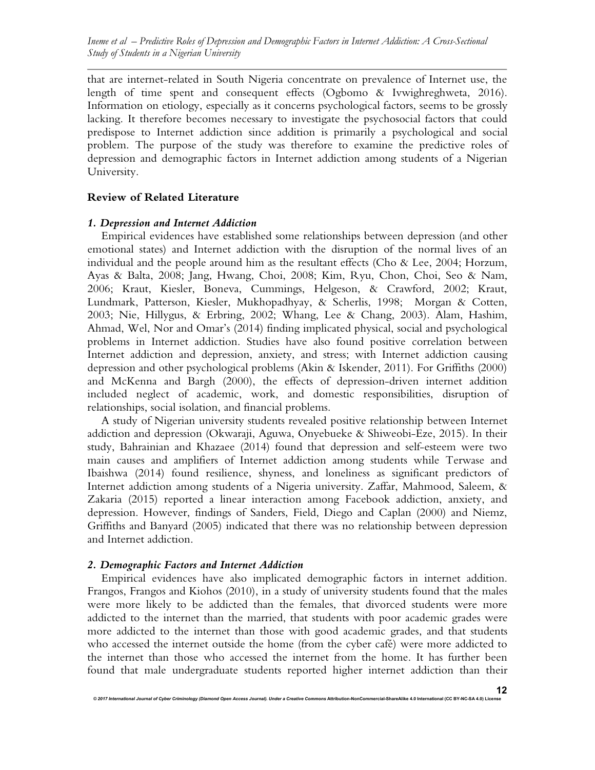that are internet-related in South Nigeria concentrate on prevalence of Internet use, the length of time spent and consequent effects (Ogbomo & Ivwighreghweta, 2016). Information on etiology, especially as it concerns psychological factors, seems to be grossly lacking. It therefore becomes necessary to investigate the psychosocial factors that could predispose to Internet addiction since addition is primarily a psychological and social problem. The purpose of the study was therefore to examine the predictive roles of depression and demographic factors in Internet addiction among students of a Nigerian University.

#### **Review of Related Literature**

#### *1. Depression and Internet Addiction*

Empirical evidences have established some relationships between depression (and other emotional states) and Internet addiction with the disruption of the normal lives of an individual and the people around him as the resultant effects (Cho & Lee, 2004; Horzum, Ayas & Balta, 2008; Jang, Hwang, Choi, 2008; Kim, Ryu, Chon, Choi, Seo & Nam, 2006; Kraut, Kiesler, Boneva, Cummings, Helgeson, & Crawford, 2002; Kraut, Lundmark, Patterson, Kiesler, Mukhopadhyay, & Scherlis, 1998; Morgan & Cotten, 2003; Nie, Hillygus, & Erbring, 2002; Whang, Lee & Chang, 2003). Alam, Hashim, Ahmad, Wel, Nor and Omar's (2014) finding implicated physical, social and psychological problems in Internet addiction. Studies have also found positive correlation between Internet addiction and depression, anxiety, and stress; with Internet addiction causing depression and other psychological problems (Akin & Iskender, 2011). For Griffiths (2000) and McKenna and Bargh (2000), the effects of depression-driven internet addition included neglect of academic, work, and domestic responsibilities, disruption of relationships, social isolation, and financial problems.

A study of Nigerian university students revealed positive relationship between Internet addiction and depression (Okwaraji, Aguwa, Onyebueke & Shiweobi-Eze, 2015). In their study, Bahrainian and Khazaee (2014) found that depression and self-esteem were two main causes and amplifiers of Internet addiction among students while Terwase and Ibaishwa (2014) found resilience, shyness, and loneliness as significant predictors of Internet addiction among students of a Nigeria university. Zaffar, Mahmood, Saleem, & Zakaria (2015) reported a linear interaction among Facebook addiction, anxiety, and depression. However, findings of Sanders, Field, Diego and Caplan (2000) and Niemz, Griffiths and Banyard (2005) indicated that there was no relationship between depression and Internet addiction.

#### *2. Demographic Factors and Internet Addiction*

Empirical evidences have also implicated demographic factors in internet addition. Frangos, Frangos and Kiohos (2010), in a study of university students found that the males were more likely to be addicted than the females, that divorced students were more addicted to the internet than the married, that students with poor academic grades were more addicted to the internet than those with good academic grades, and that students who accessed the internet outside the home (from the cyber café) were more addicted to the internet than those who accessed the internet from the home. It has further been found that male undergraduate students reported higher internet addiction than their

© 2017 International Journal of Cyber Criminology (Diamond Open Access Journal). Under a Creative Commons Attribution-NonCommercial-ShareAlike 4.0 International (CC BY-NC-SA 4.0) Lice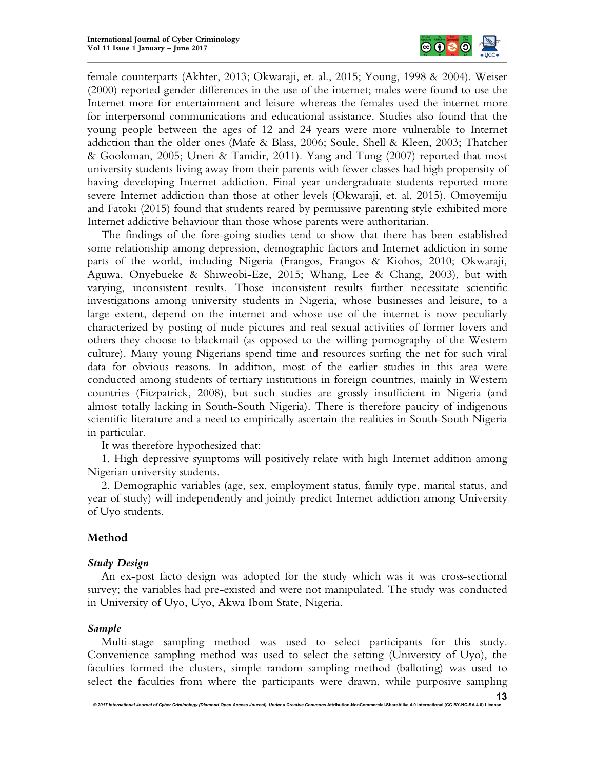

female counterparts (Akhter, 2013; Okwaraji, et. al., 2015; Young, 1998 & 2004). Weiser (2000) reported gender differences in the use of the internet; males were found to use the Internet more for entertainment and leisure whereas the females used the internet more for interpersonal communications and educational assistance. Studies also found that the young people between the ages of 12 and 24 years were more vulnerable to Internet addiction than the older ones (Mafe & Blass, 2006; Soule, Shell & Kleen, 2003; Thatcher & Gooloman, 2005; Uneri & Tanidir, 2011). Yang and Tung (2007) reported that most university students living away from their parents with fewer classes had high propensity of having developing Internet addiction. Final year undergraduate students reported more severe Internet addiction than those at other levels (Okwaraji, et. al, 2015). Omoyemiju and Fatoki (2015) found that students reared by permissive parenting style exhibited more Internet addictive behaviour than those whose parents were authoritarian.

The findings of the fore-going studies tend to show that there has been established some relationship among depression, demographic factors and Internet addiction in some parts of the world, including Nigeria (Frangos, Frangos & Kiohos, 2010; Okwaraji, Aguwa, Onyebueke & Shiweobi-Eze, 2015; Whang, Lee & Chang, 2003), but with varying, inconsistent results. Those inconsistent results further necessitate scientific investigations among university students in Nigeria, whose businesses and leisure, to a large extent, depend on the internet and whose use of the internet is now peculiarly characterized by posting of nude pictures and real sexual activities of former lovers and others they choose to blackmail (as opposed to the willing pornography of the Western culture). Many young Nigerians spend time and resources surfing the net for such viral data for obvious reasons. In addition, most of the earlier studies in this area were conducted among students of tertiary institutions in foreign countries, mainly in Western countries (Fitzpatrick, 2008), but such studies are grossly insufficient in Nigeria (and almost totally lacking in South-South Nigeria). There is therefore paucity of indigenous scientific literature and a need to empirically ascertain the realities in South-South Nigeria in particular.

It was therefore hypothesized that:

1. High depressive symptoms will positively relate with high Internet addition among Nigerian university students.

2. Demographic variables (age, sex, employment status, family type, marital status, and year of study) will independently and jointly predict Internet addiction among University of Uyo students.

## **Method**

#### *Study Design*

An ex-post facto design was adopted for the study which was it was cross-sectional survey; the variables had pre-existed and were not manipulated. The study was conducted in University of Uyo, Uyo, Akwa Ibom State, Nigeria.

#### *Sample*

Multi-stage sampling method was used to select participants for this study. Convenience sampling method was used to select the setting (University of Uyo), the faculties formed the clusters, simple random sampling method (balloting) was used to select the faculties from where the participants were drawn, while purposive sampling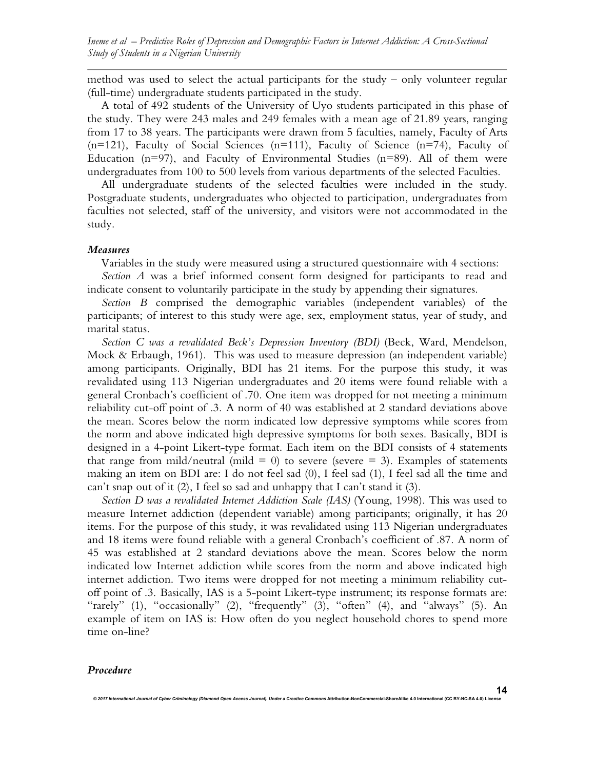method was used to select the actual participants for the study – only volunteer regular (full-time) undergraduate students participated in the study.

A total of 492 students of the University of Uyo students participated in this phase of the study. They were 243 males and 249 females with a mean age of 21.89 years, ranging from 17 to 38 years. The participants were drawn from 5 faculties, namely, Faculty of Arts  $(n=121)$ , Faculty of Social Sciences  $(n=111)$ , Faculty of Science  $(n=74)$ , Faculty of Education ( $n=97$ ), and Faculty of Environmental Studies ( $n=89$ ). All of them were undergraduates from 100 to 500 levels from various departments of the selected Faculties.

All undergraduate students of the selected faculties were included in the study. Postgraduate students, undergraduates who objected to participation, undergraduates from faculties not selected, staff of the university, and visitors were not accommodated in the study.

#### *Measures*

Variables in the study were measured using a structured questionnaire with 4 sections:

*Section A* was a brief informed consent form designed for participants to read and indicate consent to voluntarily participate in the study by appending their signatures.

*Section B* comprised the demographic variables (independent variables) of the participants; of interest to this study were age, sex, employment status, year of study, and marital status.

*Section C was a revalidated Beck's Depression Inventory (BDI)* (Beck, Ward, Mendelson, Mock & Erbaugh, 1961). This was used to measure depression (an independent variable) among participants. Originally, BDI has 21 items. For the purpose this study, it was revalidated using 113 Nigerian undergraduates and 20 items were found reliable with a general Cronbach's coefficient of .70. One item was dropped for not meeting a minimum reliability cut-off point of .3. A norm of 40 was established at 2 standard deviations above the mean. Scores below the norm indicated low depressive symptoms while scores from the norm and above indicated high depressive symptoms for both sexes. Basically, BDI is designed in a 4-point Likert-type format. Each item on the BDI consists of 4 statements that range from mild/neutral (mild  $= 0$ ) to severe (severe  $= 3$ ). Examples of statements making an item on BDI are: I do not feel sad (0), I feel sad (1), I feel sad all the time and can't snap out of it  $(2)$ , I feel so sad and unhappy that I can't stand it  $(3)$ .

*Section D was a revalidated Internet Addiction Scale (IAS)* (Young, 1998). This was used to measure Internet addiction (dependent variable) among participants; originally, it has 20 items. For the purpose of this study, it was revalidated using 113 Nigerian undergraduates and 18 items were found reliable with a general Cronbach's coefficient of .87. A norm of 45 was established at 2 standard deviations above the mean. Scores below the norm indicated low Internet addiction while scores from the norm and above indicated high internet addiction. Two items were dropped for not meeting a minimum reliability cutoff point of .3. Basically, IAS is a 5-point Likert-type instrument; its response formats are: "rarely" (1), "occasionally" (2), "frequently" (3), "often" (4), and "always" (5). An example of item on IAS is: How often do you neglect household chores to spend more time on-line?

*© 2017 International Journal of Cyber Criminology (Diamond Open Access Journal). Under a Creative Commons* **Attribution-NonCommercial-ShareAlike 4.0 International (CC BY-NC-SA 4.0) License**

#### *Procedure*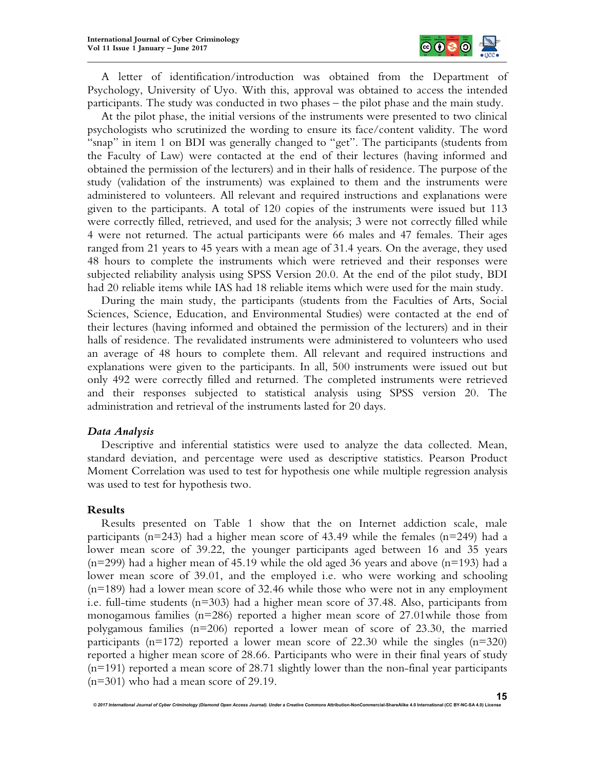

A letter of identification/introduction was obtained from the Department of Psychology, University of Uyo. With this, approval was obtained to access the intended participants. The study was conducted in two phases – the pilot phase and the main study.

At the pilot phase, the initial versions of the instruments were presented to two clinical psychologists who scrutinized the wording to ensure its face/content validity. The word "snap" in item 1 on BDI was generally changed to "get". The participants (students from the Faculty of Law) were contacted at the end of their lectures (having informed and obtained the permission of the lecturers) and in their halls of residence. The purpose of the study (validation of the instruments) was explained to them and the instruments were administered to volunteers. All relevant and required instructions and explanations were given to the participants. A total of 120 copies of the instruments were issued but 113 were correctly filled, retrieved, and used for the analysis; 3 were not correctly filled while 4 were not returned. The actual participants were 66 males and 47 females. Their ages ranged from 21 years to 45 years with a mean age of 31.4 years. On the average, they used 48 hours to complete the instruments which were retrieved and their responses were subjected reliability analysis using SPSS Version 20.0. At the end of the pilot study, BDI had 20 reliable items while IAS had 18 reliable items which were used for the main study.

During the main study, the participants (students from the Faculties of Arts, Social Sciences, Science, Education, and Environmental Studies) were contacted at the end of their lectures (having informed and obtained the permission of the lecturers) and in their halls of residence. The revalidated instruments were administered to volunteers who used an average of 48 hours to complete them. All relevant and required instructions and explanations were given to the participants. In all, 500 instruments were issued out but only 492 were correctly filled and returned. The completed instruments were retrieved and their responses subjected to statistical analysis using SPSS version 20. The administration and retrieval of the instruments lasted for 20 days.

#### *Data Analysis*

Descriptive and inferential statistics were used to analyze the data collected. Mean, standard deviation, and percentage were used as descriptive statistics. Pearson Product Moment Correlation was used to test for hypothesis one while multiple regression analysis was used to test for hypothesis two.

#### **Results**

Results presented on Table 1 show that the on Internet addiction scale, male participants (n=243) had a higher mean score of 43.49 while the females (n=249) had a lower mean score of 39.22, the younger participants aged between 16 and 35 years  $(n=299)$  had a higher mean of 45.19 while the old aged 36 years and above  $(n=193)$  had a lower mean score of 39.01, and the employed i.e. who were working and schooling (n=189) had a lower mean score of 32.46 while those who were not in any employment i.e. full-time students (n=303) had a higher mean score of 37.48. Also, participants from monogamous families ( $n=286$ ) reported a higher mean score of 27.01 while those from polygamous families (n=206) reported a lower mean of score of 23.30, the married participants ( $n=172$ ) reported a lower mean score of 22.30 while the singles ( $n=320$ ) reported a higher mean score of 28.66. Participants who were in their final years of study (n=191) reported a mean score of 28.71 slightly lower than the non-final year participants (n=301) who had a mean score of 29.19.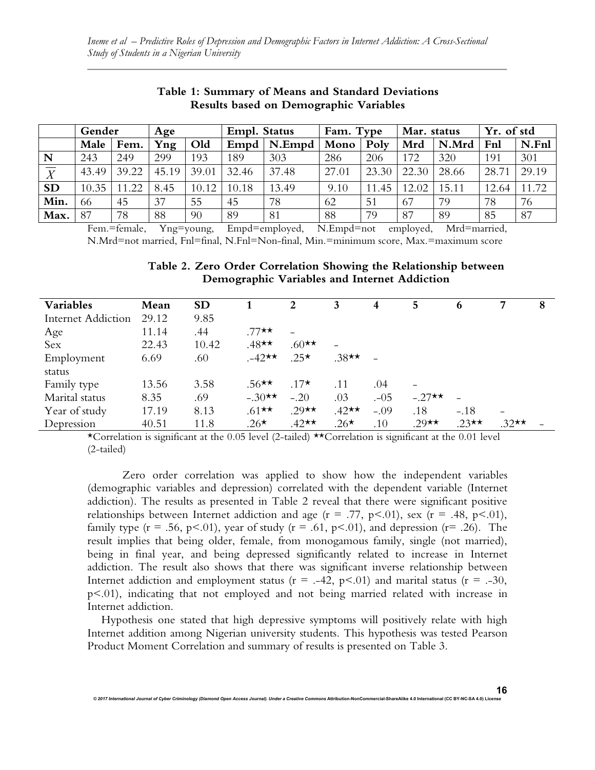|                           | Gender |       | Age   |       | Empl. Status |        | Fam. Type |           | Mar. status |       | Yr. of std |       |
|---------------------------|--------|-------|-------|-------|--------------|--------|-----------|-----------|-------------|-------|------------|-------|
|                           | Male   | Fem.  | Yng   | Old   | Empd         | N.Empd | Mono      | Poly      | Mrd         | N.Mrd | Fnl        | N.Fnl |
| N                         | 243    | 249   | 299   | 193   | 189          | 303    | 286       | 206       | 172         | 320   | 191        | 301   |
| $\overline{\overline{X}}$ | 43.49  | 39.22 | 45.19 | 39.01 | 32.46        | 37.48  | 27.01     | 23.30     | 22.30       | 28.66 | 28.71      | 29.19 |
| <b>SD</b>                 | 10.35  | 11.22 | 8.45  | 10.12 | 10.18        | 13.49  | 9.10      | .45<br>11 | 12.02       | 15.11 | 12.64      | 11.72 |
| Min.                      | 66     | 45    | 37    | 55    | 45           | 78     | 62        | 51        | 67          | 79    | 78         | 76    |
| Max.                      | 87     | 78    | 88    | 90    | 89           | 81     | 88        | 79        | 87          | 89    | 85         | 87    |

## **Table 1: Summary of Means and Standard Deviations Results based on Demographic Variables**

Fem.=female, Yng=young, Empd=employed, N.Empd=not employed, Mrd=married, N.Mrd=not married, Fnl=final, N.Fnl=Non-final, Min.=minimum score, Max.=maximum score

**Table 2. Zero Order Correlation Showing the Relationship between Demographic Variables and Internet Addiction**

| <b>Variables</b>          | Mean  | <b>SD</b> |          | 2                 | 3       | 4      | 5        | 6       |                          | 8 |
|---------------------------|-------|-----------|----------|-------------------|---------|--------|----------|---------|--------------------------|---|
| <b>Internet Addiction</b> | 29.12 | 9.85      |          |                   |         |        |          |         |                          |   |
| Age                       | 11.14 | .44       | .77★★    |                   |         |        |          |         |                          |   |
| Sex                       | 22.43 | 10.42     | $.48**$  | $.60**$           |         |        |          |         |                          |   |
| Employment                | 6.69  | .60       | $.42**$  | $.25*$            | $.38**$ |        |          |         |                          |   |
| status                    |       |           |          |                   |         |        |          |         |                          |   |
| Family type               | 13.56 | 3.58      | $.56$ ** | $.17\star$        | .11     | .04    |          |         |                          |   |
| Marital status            | 8.35  | .69       | $-.30**$ | $-.20$            | .03     | $-05$  | $-.27**$ |         |                          |   |
| Year of study             | 17.19 | 8.13      | $.61**$  | $.29 \star \star$ | $.42**$ | $-.09$ | .18      | $-.18$  | $\overline{\phantom{0}}$ |   |
| Depression                | 40.51 | 11.8      | $.26*$   | $.42**$           | $.26*$  | .10    | $.29**$  | $.23**$ | $.32**$                  |   |

\*Correlation is significant at the 0.05 level (2-tailed) \*\*Correlation is significant at the 0.01 level (2-tailed)

Zero order correlation was applied to show how the independent variables (demographic variables and depression) correlated with the dependent variable (Internet addiction). The results as presented in Table 2 reveal that there were significant positive relationships between Internet addiction and age ( $r = .77$ ,  $p < .01$ ), sex ( $r = .48$ ,  $p < .01$ ), family type ( $r = .56$ ,  $p < .01$ ), year of study ( $r = .61$ ,  $p < .01$ ), and depression ( $r = .26$ ). The result implies that being older, female, from monogamous family, single (not married), being in final year, and being depressed significantly related to increase in Internet addiction. The result also shows that there was significant inverse relationship between Internet addiction and employment status ( $r = -.42$ ,  $p < .01$ ) and marital status ( $r = .30$ , p<.01), indicating that not employed and not being married related with increase in Internet addiction.

Hypothesis one stated that high depressive symptoms will positively relate with high Internet addition among Nigerian university students. This hypothesis was tested Pearson Product Moment Correlation and summary of results is presented on Table 3.

*© 2017 International Journal of Cyber Criminology (Diamond Open Access Journal). Under a Creative Commons* **Attribution-NonCommercial-ShareAlike 4.0 International (CC BY-NC-SA 4.0) License**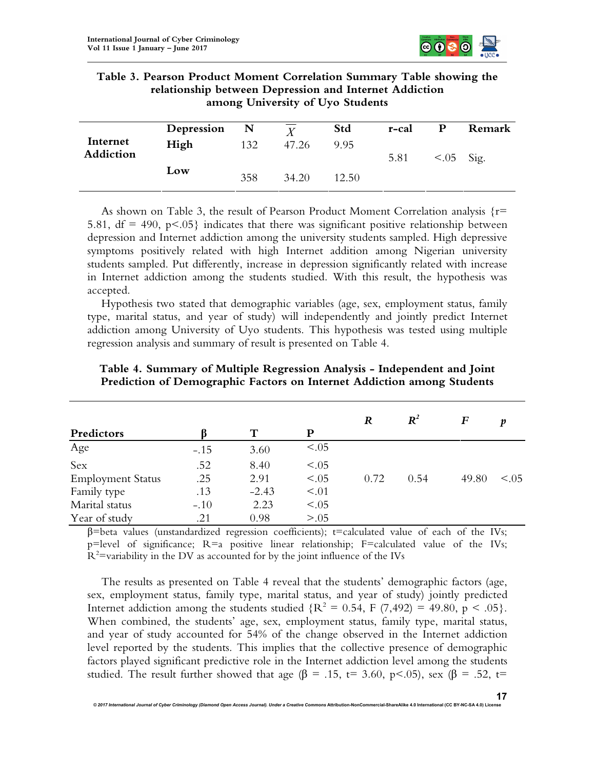

| Table 3. Pearson Product Moment Correlation Summary Table showing the |
|-----------------------------------------------------------------------|
| relationship between Depression and Internet Addiction                |
| among University of Uyo Students                                      |

|           | Depression | $\mathbf N$ | Y     | Std   | r-cal | P            | Remark |
|-----------|------------|-------------|-------|-------|-------|--------------|--------|
| Internet  | High       | 132         | 47.26 | 9.95  |       |              |        |
| Addiction |            |             |       |       | 5.81  | $< .05$ Sig. |        |
|           | Low        | 358         | 34.20 | 12.50 |       |              |        |

As shown on Table 3, the result of Pearson Product Moment Correlation analysis  $\{r=$ 5.81,  $df = 490$ ,  $p < .05$ } indicates that there was significant positive relationship between depression and Internet addiction among the university students sampled. High depressive symptoms positively related with high Internet addition among Nigerian university students sampled. Put differently, increase in depression significantly related with increase in Internet addiction among the students studied. With this result, the hypothesis was accepted.

Hypothesis two stated that demographic variables (age, sex, employment status, family type, marital status, and year of study) will independently and jointly predict Internet addiction among University of Uyo students. This hypothesis was tested using multiple regression analysis and summary of result is presented on Table 4.

|                          |        |         |        | R    | $\boldsymbol{R}^2$ | F     | v          |
|--------------------------|--------|---------|--------|------|--------------------|-------|------------|
| Predictors               |        | т       | P      |      |                    |       |            |
| Age                      | $-.15$ | 3.60    | < 0.05 |      |                    |       |            |
| Sex                      | .52    | 8.40    | < 0.05 |      |                    |       |            |
| <b>Employment Status</b> | .25    | 2.91    | < 0.05 | 0.72 | 0.54               | 49.80 | $\leq$ 0.5 |
| Family type              | .13    | $-2.43$ | < 0.01 |      |                    |       |            |
| Marital status           | $-.10$ | 2.23    | < 0.05 |      |                    |       |            |
| Year of study            | .21    | 0.98    | > 0.05 |      |                    |       |            |

**Table 4. Summary of Multiple Regression Analysis - Independent and Joint Prediction of Demographic Factors on Internet Addiction among Students**

 $β = beta$  values (unstandardized regression coefficients); t=calculated value of each of the IVs; p=level of significance; R=a positive linear relationship; F=calculated value of the IVs;  $R^2$ =variability in the DV as accounted for by the joint influence of the IVs

The results as presented on Table 4 reveal that the students' demographic factors (age, sex, employment status, family type, marital status, and year of study) jointly predicted Internet addiction among the students studied  ${R^2 = 0.54, F (7,492) = 49.80, p < .05}.$ When combined, the students' age, sex, employment status, family type, marital status, and year of study accounted for 54% of the change observed in the Internet addiction level reported by the students. This implies that the collective presence of demographic factors played significant predictive role in the Internet addiction level among the students studied. The result further showed that age ( $\beta = .15$ , t= 3.60, p<.05), sex ( $\beta = .52$ , t=

© 2017 International Journal of Cyber Criminology (Diamond Open Access Journal). Under a Creative Commons Attribution-NonCommercial-ShareAlike 4.0 International (CC BY-NC-SA 4.0) Lice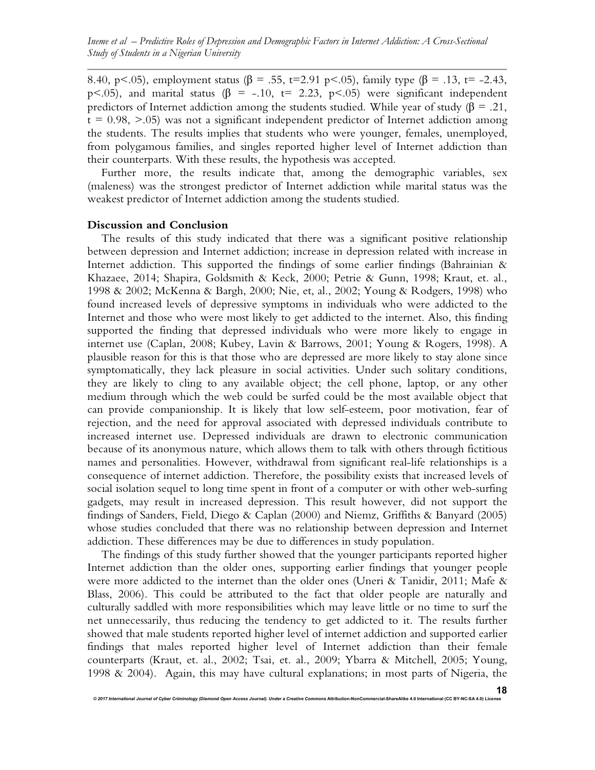*Ineme et al – Predictive Roles of Depression and Demographic Factors in Internet Addiction: A Cross-Sectional Study of Students in a Nigerian University*

8.40, p <.05), employment status ( $\beta$  = .55, t=2.91 p <.05), family type ( $\beta$  = .13, t= -2.43, p<.05), and marital status ( $\beta$  = -.10, t= 2.23, p<.05) were significant independent predictors of Internet addiction among the students studied. While year of study ( $\beta = .21$ ,  $t = 0.98, > 0.05$ ) was not a significant independent predictor of Internet addiction among the students. The results implies that students who were younger, females, unemployed, from polygamous families, and singles reported higher level of Internet addiction than their counterparts. With these results, the hypothesis was accepted.

Further more, the results indicate that, among the demographic variables, sex (maleness) was the strongest predictor of Internet addiction while marital status was the weakest predictor of Internet addiction among the students studied.

#### **Discussion and Conclusion**

The results of this study indicated that there was a significant positive relationship between depression and Internet addiction; increase in depression related with increase in Internet addiction. This supported the findings of some earlier findings (Bahrainian  $\&$ Khazaee, 2014; Shapira, Goldsmith & Keck, 2000; Petrie & Gunn, 1998; Kraut, et. al., 1998 & 2002; McKenna & Bargh, 2000; Nie, et, al., 2002; Young & Rodgers, 1998) who found increased levels of depressive symptoms in individuals who were addicted to the Internet and those who were most likely to get addicted to the internet. Also, this finding supported the finding that depressed individuals who were more likely to engage in internet use (Caplan, 2008; Kubey, Lavin & Barrows, 2001; Young & Rogers, 1998). A plausible reason for this is that those who are depressed are more likely to stay alone since symptomatically, they lack pleasure in social activities. Under such solitary conditions, they are likely to cling to any available object; the cell phone, laptop, or any other medium through which the web could be surfed could be the most available object that can provide companionship. It is likely that low self-esteem, poor motivation, fear of rejection, and the need for approval associated with depressed individuals contribute to increased internet use. Depressed individuals are drawn to electronic communication because of its anonymous nature, which allows them to talk with others through fictitious names and personalities. However, withdrawal from significant real-life relationships is a consequence of internet addiction. Therefore, the possibility exists that increased levels of social isolation sequel to long time spent in front of a computer or with other web-surfing gadgets, may result in increased depression. This result however, did not support the findings of Sanders, Field, Diego & Caplan (2000) and Niemz, Griffiths & Banyard (2005) whose studies concluded that there was no relationship between depression and Internet addiction. These differences may be due to differences in study population.

The findings of this study further showed that the younger participants reported higher Internet addiction than the older ones, supporting earlier findings that younger people were more addicted to the internet than the older ones (Uneri & Tanidir, 2011; Mafe & Blass, 2006). This could be attributed to the fact that older people are naturally and culturally saddled with more responsibilities which may leave little or no time to surf the net unnecessarily, thus reducing the tendency to get addicted to it. The results further showed that male students reported higher level of internet addiction and supported earlier findings that males reported higher level of Internet addiction than their female counterparts (Kraut, et. al., 2002; Tsai, et. al., 2009; Ybarra & Mitchell, 2005; Young, 1998 & 2004). Again, this may have cultural explanations; in most parts of Nigeria, the

© 2017 International Journal of Cyber Criminology (Diamond Open Access Journal). Under a Creative Commons Attribution-NonCommercial-ShareAlike 4.0 International (CC BY-NC-SA 4.0) Lice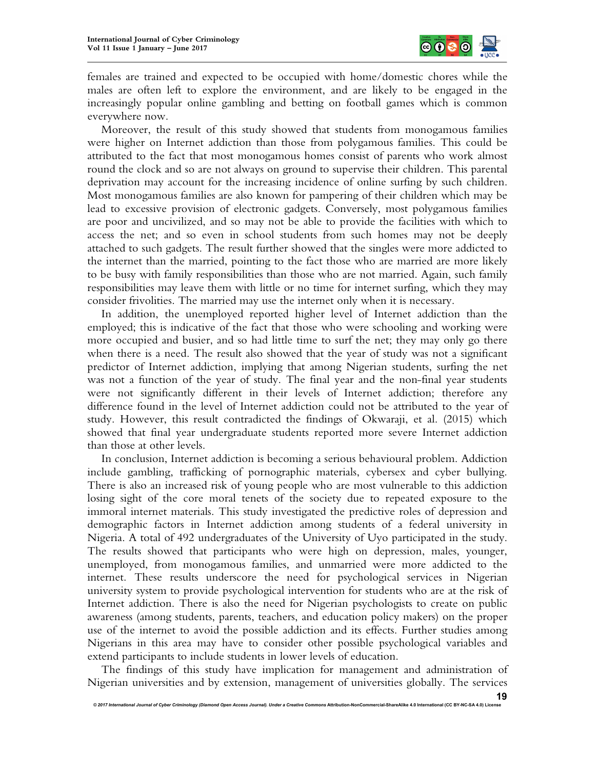

females are trained and expected to be occupied with home/domestic chores while the males are often left to explore the environment, and are likely to be engaged in the increasingly popular online gambling and betting on football games which is common everywhere now.

Moreover, the result of this study showed that students from monogamous families were higher on Internet addiction than those from polygamous families. This could be attributed to the fact that most monogamous homes consist of parents who work almost round the clock and so are not always on ground to supervise their children. This parental deprivation may account for the increasing incidence of online surfing by such children. Most monogamous families are also known for pampering of their children which may be lead to excessive provision of electronic gadgets. Conversely, most polygamous families are poor and uncivilized, and so may not be able to provide the facilities with which to access the net; and so even in school students from such homes may not be deeply attached to such gadgets. The result further showed that the singles were more addicted to the internet than the married, pointing to the fact those who are married are more likely to be busy with family responsibilities than those who are not married. Again, such family responsibilities may leave them with little or no time for internet surfing, which they may consider frivolities. The married may use the internet only when it is necessary.

In addition, the unemployed reported higher level of Internet addiction than the employed; this is indicative of the fact that those who were schooling and working were more occupied and busier, and so had little time to surf the net; they may only go there when there is a need. The result also showed that the year of study was not a significant predictor of Internet addiction, implying that among Nigerian students, surfing the net was not a function of the year of study. The final year and the non-final year students were not significantly different in their levels of Internet addiction; therefore any difference found in the level of Internet addiction could not be attributed to the year of study. However, this result contradicted the findings of Okwaraji, et al. (2015) which showed that final year undergraduate students reported more severe Internet addiction than those at other levels.

In conclusion, Internet addiction is becoming a serious behavioural problem. Addiction include gambling, trafficking of pornographic materials, cybersex and cyber bullying. There is also an increased risk of young people who are most vulnerable to this addiction losing sight of the core moral tenets of the society due to repeated exposure to the immoral internet materials. This study investigated the predictive roles of depression and demographic factors in Internet addiction among students of a federal university in Nigeria. A total of 492 undergraduates of the University of Uyo participated in the study. The results showed that participants who were high on depression, males, younger, unemployed, from monogamous families, and unmarried were more addicted to the internet. These results underscore the need for psychological services in Nigerian university system to provide psychological intervention for students who are at the risk of Internet addiction. There is also the need for Nigerian psychologists to create on public awareness (among students, parents, teachers, and education policy makers) on the proper use of the internet to avoid the possible addiction and its effects. Further studies among Nigerians in this area may have to consider other possible psychological variables and extend participants to include students in lower levels of education.

The findings of this study have implication for management and administration of Nigerian universities and by extension, management of universities globally. The services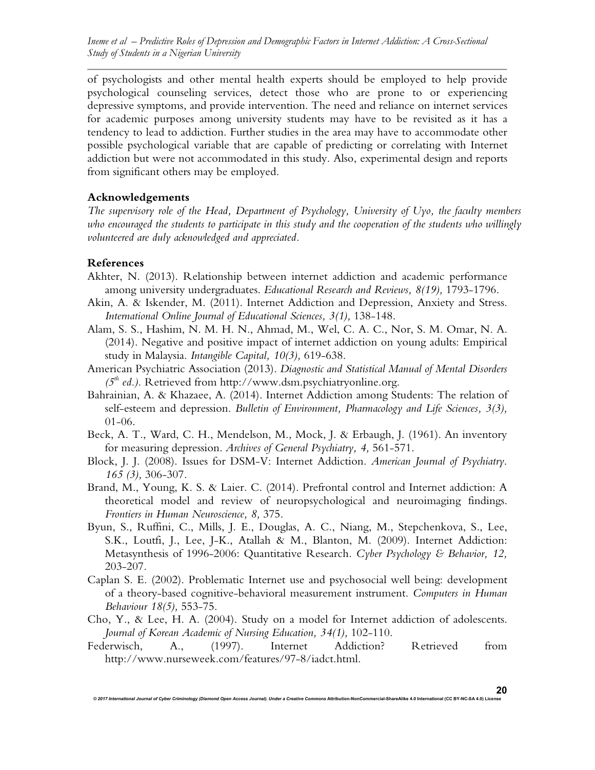of psychologists and other mental health experts should be employed to help provide psychological counseling services, detect those who are prone to or experiencing depressive symptoms, and provide intervention. The need and reliance on internet services for academic purposes among university students may have to be revisited as it has a tendency to lead to addiction. Further studies in the area may have to accommodate other possible psychological variable that are capable of predicting or correlating with Internet addiction but were not accommodated in this study. Also, experimental design and reports from significant others may be employed.

# **Acknowledgements**

*The supervisory role of the Head, Department of Psychology, University of Uyo, the faculty members who encouraged the students to participate in this study and the cooperation of the students who willingly volunteered are duly acknowledged and appreciated.*

# **References**

- Akhter, N. (2013). Relationship between internet addiction and academic performance among university undergraduates. *Educational Research and Reviews, 8(19),* 1793-1796.
- Akin, A. & Iskender, M. (2011). Internet Addiction and Depression, Anxiety and Stress. *International Online Journal of Educational Sciences, 3(1),* 138-148.
- Alam, S. S., Hashim, N. M. H. N., Ahmad, M., Wel, C. A. C., Nor, S. M. Omar, N. A. (2014). Negative and positive impact of internet addiction on young adults: Empirical study in Malaysia. *Intangible Capital, 10(3),* 619-638.
- American Psychiatric Association (2013). *Diagnostic and Statistical Manual of Mental Disorders (5th ed.).* Retrieved from http://www.dsm.psychiatryonline.org.
- Bahrainian, A. & Khazaee, A. (2014). Internet Addiction among Students: The relation of self-esteem and depression. *Bulletin of Environment, Pharmacology and Life Sciences, 3(3),* 01-06.
- Beck, A. T., Ward, C. H., Mendelson, M., Mock, J. & Erbaugh, J. (1961). An inventory for measuring depression. *Archives of General Psychiatry, 4,* 561-571.
- Block, J. J. (2008). Issues for DSM-V: Internet Addiction. *American Journal of Psychiatry*. *165 (3),* 306-307.
- Brand, M., Young, K. S. & Laier. C. (2014). Prefrontal control and Internet addiction: A theoretical model and review of neuropsychological and neuroimaging findings. *Frontiers in Human Neuroscience, 8,* 375.
- Byun, S., Ruffini, C., Mills, J. E., Douglas, A. C., Niang, M., Stepchenkova, S., Lee, S.K., Loutfi, J., Lee, J-K., Atallah & M., Blanton, M. (2009). Internet Addiction: Metasynthesis of 1996-2006: Quantitative Research. *Cyber Psychology & Behavior, 12,* 203-207.
- Caplan S. E. (2002). Problematic Internet use and psychosocial well being: development of a theory-based cognitive-behavioral measurement instrument. *Computers in Human Behaviour 18(5),* 553-75.
- Cho, Y., & Lee, H. A. (2004). Study on a model for Internet addiction of adolescents. *Journal of Korean Academic of Nursing Education, 34(1),* 102-110.
- Federwisch, A., (1997). Internet Addiction? Retrieved from http://www.nurseweek.com/features/97-8/iadct.html.

*© 2017 International Journal of Cyber Criminology (Diamond Open Access Journal). Under a Creative Commons* **Attribution-NonCommercial-ShareAlike 4.0 International (CC BY-NC-SA 4.0) License**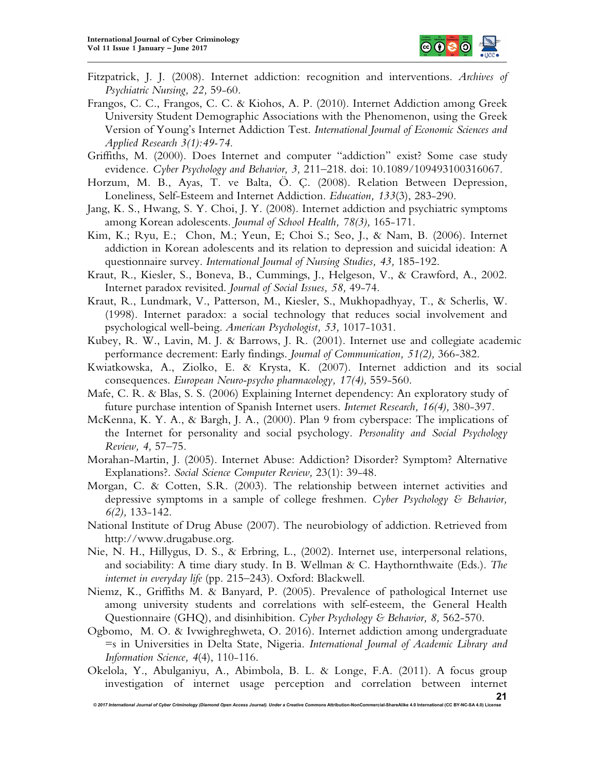

- Fitzpatrick, J. J. (2008). Internet addiction: recognition and interventions. *Archives of Psychiatric Nursing, 22,* 59-60.
- Frangos, C. C., Frangos, C. C. & Kiohos, A. P. (2010). Internet Addiction among Greek University Student Demographic Associations with the Phenomenon, using the Greek Version of Young's Internet Addiction Test. *International Journal of Economic Sciences and Applied Research 3(1):49-74.*
- Griffiths, M. (2000). Does Internet and computer "addiction" exist? Some case study evidence*. Cyber Psychology and Behavior, 3,* 211–218. doi: 10.1089/109493100316067.
- Horzum, M. B., Ayas, T. ve Balta, Ö. Ç. (2008). Relation Between Depression, Loneliness, Self-Esteem and Internet Addiction. *Education, 133*(3), 283-290.
- Jang, K. S., Hwang, S. Y. Choi, J. Y. (2008). Internet addiction and psychiatric symptoms among Korean adolescents. *Journal of School Health, 78(3),* 165-171.
- Kim, K.; Ryu, E.; Chon, M.; Yeun, E; Choi S.; Seo, J., & Nam, B. (2006). Internet addiction in Korean adolescents and its relation to depression and suicidal ideation: A questionnaire survey. *International Journal of Nursing Studies, 43,* 185-192.
- Kraut, R., Kiesler, S., Boneva, B., Cummings, J., Helgeson, V., & Crawford, A., 2002. Internet paradox revisited. *Journal of Social Issues, 58,* 49-74.
- Kraut, R., Lundmark, V., Patterson, M., Kiesler, S., Mukhopadhyay, T., & Scherlis, W. (1998). Internet paradox: a social technology that reduces social involvement and psychological well-being. *American Psychologist, 53,* 1017-1031.
- Kubey, R. W., Lavin, M. J. & Barrows, J. R. (2001). Internet use and collegiate academic performance decrement: Early findings. *Journal of Communication, 51(2),* 366-382.
- Kwiatkowska, A., Ziolko, E. & Krysta, K. (2007). Internet addiction and its social consequences. *European Neuro-psycho pharmacology, 17(4),* 559-560.
- Mafe, C. R. & Blas, S. S. (2006) Explaining Internet dependency: An exploratory study of future purchase intention of Spanish Internet users. *Internet Research, 16(4),* 380-397*.*
- McKenna, K. Y. A., & Bargh, J. A., (2000). Plan 9 from cyberspace: The implications of the Internet for personality and social psychology. *Personality and Social Psychology Review, 4,* 57–75.
- Morahan-Martin, J. (2005). Internet Abuse: Addiction? Disorder? Symptom? Alternative Explanations?. *Social Science Computer Review,* 23(1): 39-48.
- Morgan, C. & Cotten, S.R. (2003). The relationship between internet activities and depressive symptoms in a sample of college freshmen. *Cyber Psychology & Behavior, 6(2),* 133-142.
- National Institute of Drug Abuse (2007). The neurobiology of addiction. Retrieved from http://www.drugabuse.org.
- Nie, N. H., Hillygus, D. S., & Erbring, L., (2002). Internet use, interpersonal relations, and sociability: A time diary study. In B. Wellman & C. Haythornthwaite (Eds.). *The internet in everyday life* (pp. 215–243). Oxford: Blackwell.
- Niemz, K., Griffiths M. & Banyard, P. (2005). Prevalence of pathological Internet use among university students and correlations with self-esteem, the General Health Questionnaire (GHQ), and disinhibition. *Cyber Psychology & Behavior, 8,* 562-570.
- Ogbomo, M. O. & Ivwighreghweta, O. 2016). Internet addiction among undergraduate =s in Universities in Delta State, Nigeria. *International Journal of Academic Library and Information Science, 4*(4), 110-116.
- Okelola, Y., Abulganiyu, A., Abimbola, B. L. & Longe, F.A. (2011). A focus group investigation of internet usage perception and correlation between internet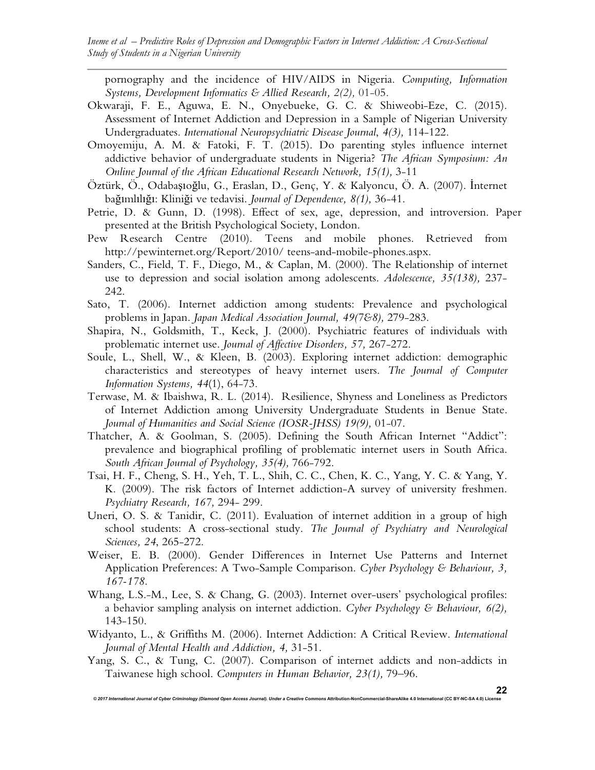pornography and the incidence of HIV/AIDS in Nigeria. *Computing, Information Systems, Development Informatics & Allied Research, 2(2),* 01-05.

- Okwaraji, F. E., Aguwa, E. N., Onyebueke, G. C. & Shiweobi-Eze, C. (2015). Assessment of Internet Addiction and Depression in a Sample of Nigerian University Undergraduates. *International Neuropsychiatric Disease Journal*, *4(3),* 114-122.
- Omoyemiju, A. M. & Fatoki, F. T. (2015). Do parenting styles influence internet addictive behavior of undergraduate students in Nigeria? *The African Symposium: An Online Journal of the African Educational Research Network, 15(1),* 3-11
- Öztürk, Ö., Odabaşıoğlu, G., Eraslan, D., Genç, Y. & Kalyoncu, Ö. A. (2007). İnternet bağımlılığı: Kliniği ve tedavisi. *Journal of Dependence, 8(1),* 36-41.
- Petrie, D. & Gunn, D. (1998). Effect of sex, age, depression, and introversion. Paper presented at the British Psychological Society, London.
- Pew Research Centre (2010). Teens and mobile phones. Retrieved from http://pewinternet.org/Report/2010/ teens-and-mobile-phones.aspx.
- Sanders, C., Field, T. F., Diego, M., & Caplan, M. (2000). The Relationship of internet use to depression and social isolation among adolescents. *Adolescence, 35(138),* 237- 242.
- Sato, T. (2006). Internet addiction among students: Prevalence and psychological problems in Japan. *Japan Medical Association Journal, 49(7&8),* 279-283.
- Shapira, N., Goldsmith, T., Keck, J. (2000). Psychiatric features of individuals with problematic internet use. *Journal of Affective Disorders, 57,* 267-272.
- Soule, L., Shell, W., & Kleen, B. (2003). Exploring internet addiction: demographic characteristics and stereotypes of heavy internet users. *The Journal of Computer Information Systems, 44*(1), 64-73*.*
- Terwase, M. & Ibaishwa, R. L. (2014). Resilience, Shyness and Loneliness as Predictors of Internet Addiction among University Undergraduate Students in Benue State. *Journal of Humanities and Social Science (IOSR-JHSS) 19(9),* 01-07.
- Thatcher, A. & Goolman, S. (2005). Defining the South African Internet "Addict": prevalence and biographical profiling of problematic internet users in South Africa. *South African Journal of Psychology, 35(4),* 766-792.
- Tsai, H. F., Cheng, S. H., Yeh, T. L., Shih, C. C., Chen, K. C., Yang, Y. C. & Yang, Y. K. (2009). The risk factors of Internet addiction-A survey of university freshmen. *Psychiatry Research, 167,* 294- 299.
- Uneri, O. S. & Tanidir, C. (2011). Evaluation of internet addition in a group of high school students: A cross-sectional study. *The Journal of Psychiatry and Neurological Sciences, 24*, 265-272.
- Weiser, E. B. (2000). Gender Differences in Internet Use Patterns and Internet Application Preferences: A Two-Sample Comparison. *Cyber Psychology & Behaviour, 3, 167-178.*
- Whang, L.S.-M., Lee, S. & Chang, G. (2003). Internet over-users' psychological profiles: a behavior sampling analysis on internet addiction. *Cyber Psychology & Behaviour, 6(2),* 143-150.
- Widyanto, L., & Griffiths M. (2006). Internet Addiction: A Critical Review. *International Journal of Mental Health and Addiction, 4,* 31-51.
- Yang, S. C., & Tung, C. (2007). Comparison of internet addicts and non-addicts in Taiwanese high school. *Computers in Human Behavior, 23(1),* 79–96.

*© 2017 International Journal of Cyber Criminology (Diamond Open Access Journal). Under a Creative Commons* **Attribution-NonCommercial-ShareAlike 4.0 International (CC BY-NC-SA 4.0) License**